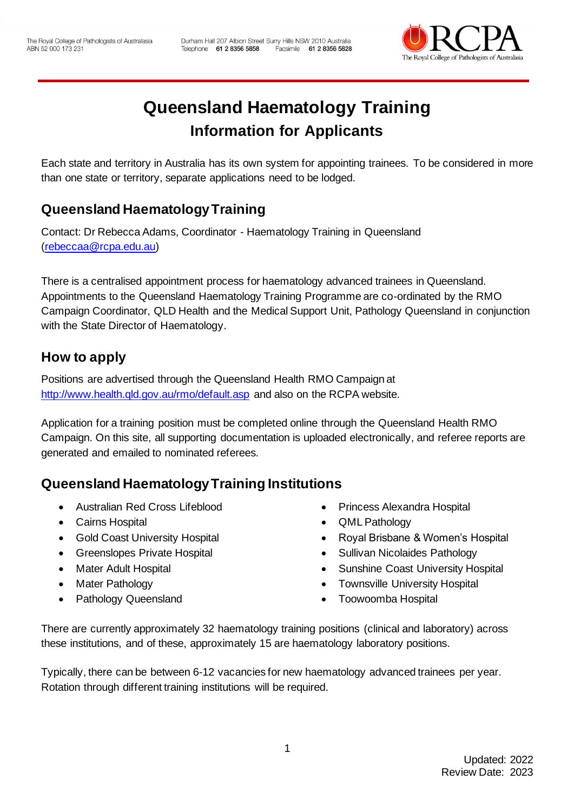

# **Queensland Haematology Training Information for Applicants**

Each state and territory in Australia has its own system for appointing trainees. To be considered in more than one state or territory, separate applications need to be lodged.

# **Queensland Haematology Training**

Contact: Dr Rebecca Adams, Coordinator - Haematology Training in Queensland [\(rebeccaa@rcpa.edu.au\)](mailto:rebeccaa@rcpa.edu.au)

There is a centralised appointment process for haematology advanced trainees in Queensland. Appointments to the Queensland Haematology Training Programme are co-ordinated by the RMO Campaign Coordinator, QLD Health and the Medical Support Unit, Pathology Queensland in conjunction with the State Director of Haematology.

### **How to apply**

Positions are advertised through the Queensland Health RMO Campaign at <http://www.health.qld.gov.au/rmo/default.asp> and also on the RCPA website.

Application for a training position must be completed online through the Queensland Health RMO Campaign. On this site, all supporting documentation is uploaded electronically, and referee reports are generated and emailed to nominated referees.

### **Queensland Haematology Training Institutions**

- Australian Red Cross Lifeblood
- Cairns Hospital
- Gold Coast University Hospital
- Greenslopes Private Hospital
- Mater Adult Hospital
- **Mater Pathology**
- Pathology Queensland
- Princess Alexandra Hospital
- QML Pathology
- Royal Brisbane & Women's Hospital
- Sullivan Nicolaides Pathology
- Sunshine Coast University Hospital
- Townsville University Hospital
- Toowoomba Hospital

There are currently approximately 32 haematology training positions (clinical and laboratory) across these institutions, and of these, approximately 15 are haematology laboratory positions.

Typically, there can be between 6-12 vacancies for new haematology advanced trainees per year. Rotation through different training institutions will be required.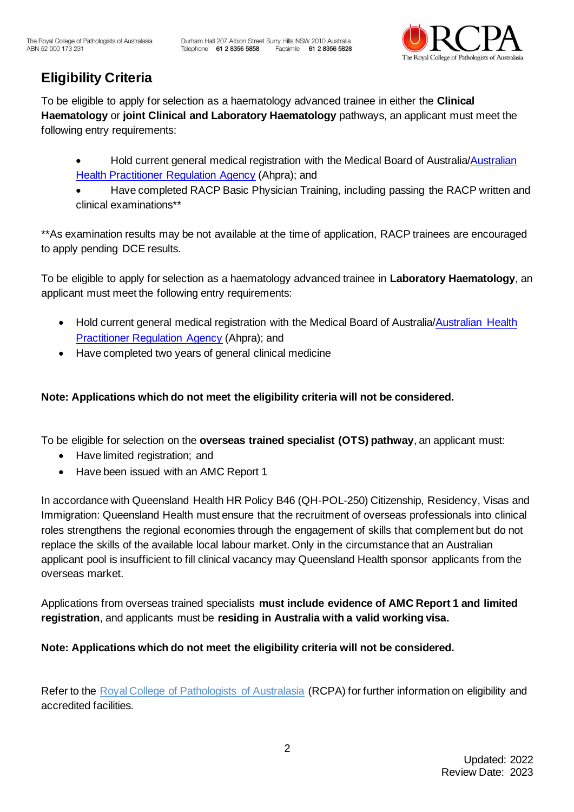

# **Eligibility Criteria**

To be eligible to apply for selection as a haematology advanced trainee in either the **Clinical Haematology** or **joint Clinical and Laboratory Haematology** pathways, an applicant must meet the following entry requirements:

- Hold current general medical registration with the Medical Board of Australia[/Australian](https://www.ahpra.gov.au/)  [Health Practitioner Regulation Agency](https://www.ahpra.gov.au/) (Ahpra); and
- Have completed RACP Basic Physician Training, including passing the RACP written and clinical examinations\*\*

\*\*As examination results may be not available at the time of application, RACP trainees are encouraged to apply pending DCE results.

To be eligible to apply for selection as a haematology advanced trainee in **Laboratory Haematology**, an applicant must meet the following entry requirements:

- Hold current general medical registration with the Medical Board of Australia/Australian Health [Practitioner Regulation Agency](https://www.ahpra.gov.au/) (Ahpra); and
- Have completed two years of general clinical medicine

#### **Note: Applications which do not meet the eligibility criteria will not be considered.**

To be eligible for selection on the **overseas trained specialist (OTS) pathway**, an applicant must:

- Have limited registration; and
- Have been issued with an AMC Report 1

In accordance with Queensland Health HR Policy B46 (QH-POL-250) Citizenship, Residency, Visas and Immigration: Queensland Health must ensure that the recruitment of overseas professionals into clinical roles strengthens the regional economies through the engagement of skills that complement but do not replace the skills of the available local labour market. Only in the circumstance that an Australian applicant pool is insufficient to fill clinical vacancy may Queensland Health sponsor applicants from the overseas market.

Applications from overseas trained specialists **must include evidence of AMC Report 1 and limited registration**, and applicants must be **residing in Australia with a valid working visa.** 

#### **Note: Applications which do not meet the eligibility criteria will not be considered.**

Refer to the Royal College of Pathologists of Australasia (RCPA) for further information on eligibility and accredited facilities.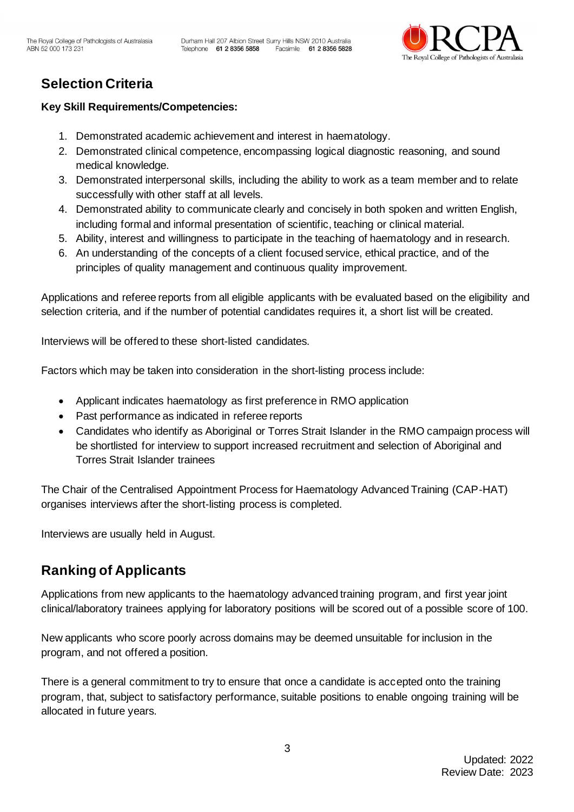

# **Selection Criteria**

#### **Key Skill Requirements/Competencies:**

- 1. Demonstrated academic achievement and interest in haematology.
- 2. Demonstrated clinical competence, encompassing logical diagnostic reasoning, and sound medical knowledge.
- 3. Demonstrated interpersonal skills, including the ability to work as a team member and to relate successfully with other staff at all levels.
- 4. Demonstrated ability to communicate clearly and concisely in both spoken and written English, including formal and informal presentation of scientific, teaching or clinical material.
- 5. Ability, interest and willingness to participate in the teaching of haematology and in research.
- 6. An understanding of the concepts of a client focused service, ethical practice, and of the principles of quality management and continuous quality improvement.

Applications and referee reports from all eligible applicants with be evaluated based on the eligibility and selection criteria, and if the number of potential candidates requires it, a short list will be created.

Interviews will be offered to these short-listed candidates.

Factors which may be taken into consideration in the short-listing process include:

- Applicant indicates haematology as first preference in RMO application
- Past performance as indicated in referee reports
- Candidates who identify as Aboriginal or Torres Strait Islander in the RMO campaign process will be shortlisted for interview to support increased recruitment and selection of Aboriginal and Torres Strait Islander trainees

The Chair of the Centralised Appointment Process for Haematology Advanced Training (CAP-HAT) organises interviews after the short-listing process is completed.

Interviews are usually held in August.

### **Ranking of Applicants**

Applications from new applicants to the haematology advanced training program, and first year joint clinical/laboratory trainees applying for laboratory positions will be scored out of a possible score of 100.

New applicants who score poorly across domains may be deemed unsuitable for inclusion in the program, and not offered a position.

There is a general commitment to try to ensure that once a candidate is accepted onto the training program, that, subject to satisfactory performance, suitable positions to enable ongoing training will be allocated in future years.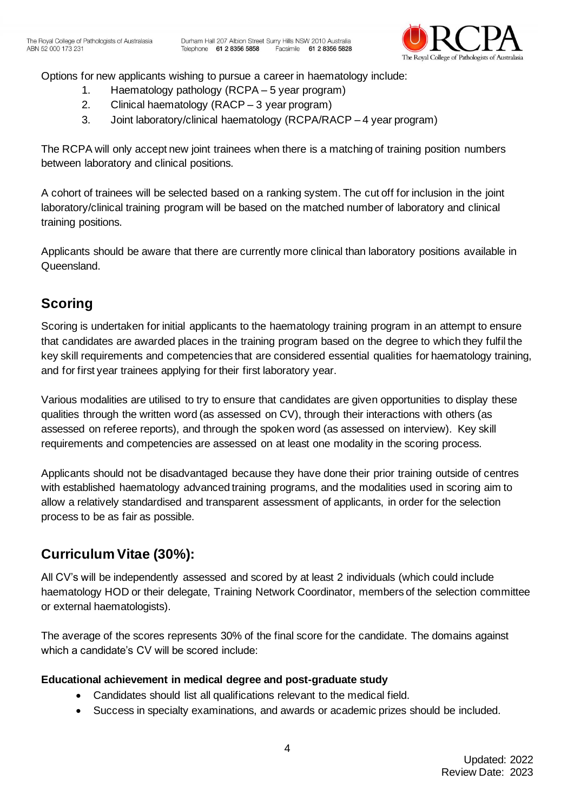

Options for new applicants wishing to pursue a career in haematology include:

- 1. Haematology pathology (RCPA 5 year program)
- 2. Clinical haematology (RACP 3 year program)
- 3. Joint laboratory/clinical haematology (RCPA/RACP 4 year program)

The RCPA will only accept new joint trainees when there is a matching of training position numbers between laboratory and clinical positions.

A cohort of trainees will be selected based on a ranking system. The cut off for inclusion in the joint laboratory/clinical training program will be based on the matched number of laboratory and clinical training positions.

Applicants should be aware that there are currently more clinical than laboratory positions available in Queensland.

# **Scoring**

Scoring is undertaken for initial applicants to the haematology training program in an attempt to ensure that candidates are awarded places in the training program based on the degree to which they fulfil the key skill requirements and competencies that are considered essential qualities for haematology training, and for first year trainees applying for their first laboratory year.

Various modalities are utilised to try to ensure that candidates are given opportunities to display these qualities through the written word (as assessed on CV), through their interactions with others (as assessed on referee reports), and through the spoken word (as assessed on interview). Key skill requirements and competencies are assessed on at least one modality in the scoring process.

Applicants should not be disadvantaged because they have done their prior training outside of centres with established haematology advanced training programs, and the modalities used in scoring aim to allow a relatively standardised and transparent assessment of applicants, in order for the selection process to be as fair as possible.

# **Curriculum Vitae (30%):**

All CV's will be independently assessed and scored by at least 2 individuals (which could include haematology HOD or their delegate, Training Network Coordinator, members of the selection committee or external haematologists).

The average of the scores represents 30% of the final score for the candidate. The domains against which a candidate's CV will be scored include:

#### **Educational achievement in medical degree and post-graduate study**

- Candidates should list all qualifications relevant to the medical field.
- Success in specialty examinations, and awards or academic prizes should be included.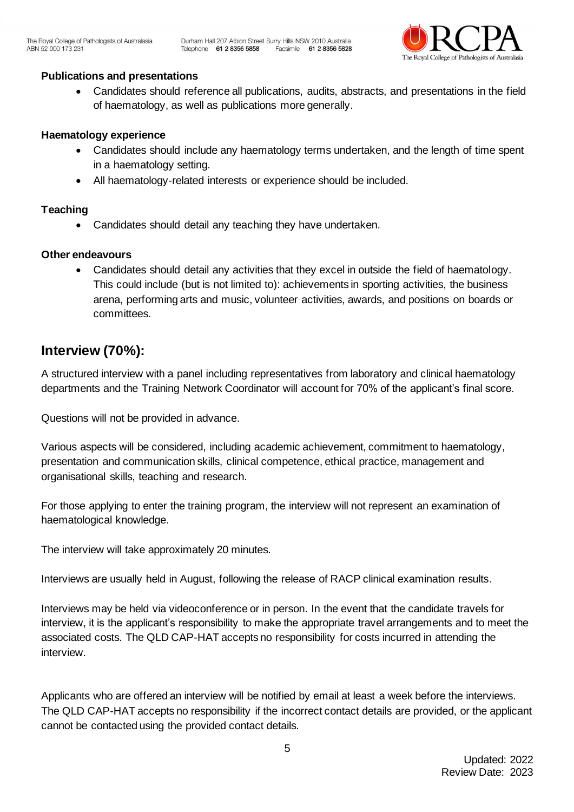

#### **Publications and presentations**

• Candidates should reference all publications, audits, abstracts, and presentations in the field of haematology, as well as publications more generally.

#### **Haematology experience**

- Candidates should include any haematology terms undertaken, and the length of time spent in a haematology setting.
- All haematology-related interests or experience should be included.

#### **Teaching**

Candidates should detail any teaching they have undertaken.

#### **Other endeavours**

• Candidates should detail any activities that they excel in outside the field of haematology. This could include (but is not limited to): achievements in sporting activities, the business arena, performing arts and music, volunteer activities, awards, and positions on boards or committees.

### **Interview (70%):**

A structured interview with a panel including representatives from laboratory and clinical haematology departments and the Training Network Coordinator will account for 70% of the applicant's final score.

Questions will not be provided in advance.

Various aspects will be considered, including academic achievement, commitment to haematology, presentation and communication skills, clinical competence, ethical practice, management and organisational skills, teaching and research.

For those applying to enter the training program, the interview will not represent an examination of haematological knowledge.

The interview will take approximately 20 minutes.

Interviews are usually held in August, following the release of RACP clinical examination results.

Interviews may be held via videoconference or in person. In the event that the candidate travels for interview, it is the applicant's responsibility to make the appropriate travel arrangements and to meet the associated costs. The QLD CAP-HAT accepts no responsibility for costs incurred in attending the interview.

Applicants who are offered an interview will be notified by email at least a week before the interviews. The QLD CAP-HAT accepts no responsibility if the incorrect contact details are provided, or the applicant cannot be contacted using the provided contact details.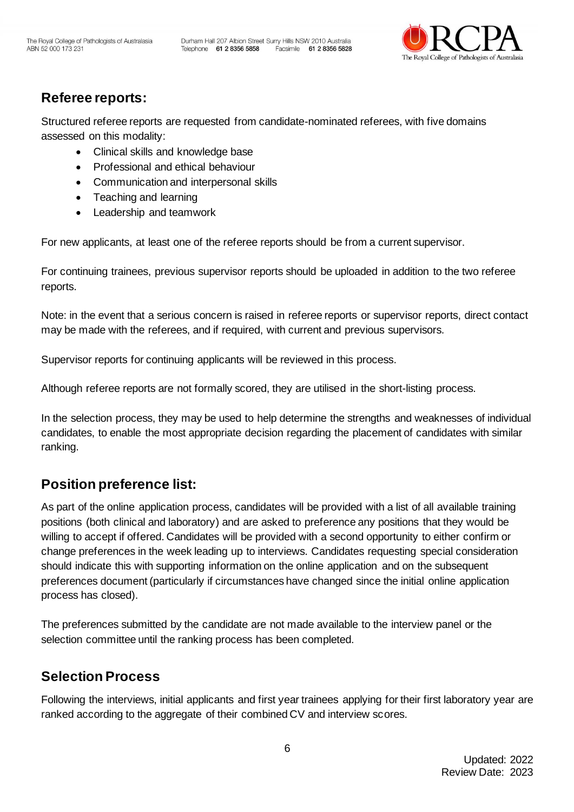

# **Referee reports:**

Structured referee reports are requested from candidate-nominated referees, with five domains assessed on this modality:

- Clinical skills and knowledge base
- Professional and ethical behaviour
- Communication and interpersonal skills
- Teaching and learning
- Leadership and teamwork

For new applicants, at least one of the referee reports should be from a current supervisor.

For continuing trainees, previous supervisor reports should be uploaded in addition to the two referee reports.

Note: in the event that a serious concern is raised in referee reports or supervisor reports, direct contact may be made with the referees, and if required, with current and previous supervisors.

Supervisor reports for continuing applicants will be reviewed in this process.

Although referee reports are not formally scored, they are utilised in the short-listing process.

In the selection process, they may be used to help determine the strengths and weaknesses of individual candidates, to enable the most appropriate decision regarding the placement of candidates with similar ranking.

### **Position preference list:**

As part of the online application process, candidates will be provided with a list of all available training positions (both clinical and laboratory) and are asked to preference any positions that they would be willing to accept if offered. Candidates will be provided with a second opportunity to either confirm or change preferences in the week leading up to interviews. Candidates requesting special consideration should indicate this with supporting information on the online application and on the subsequent preferences document (particularly if circumstances have changed since the initial online application process has closed).

The preferences submitted by the candidate are not made available to the interview panel or the selection committee until the ranking process has been completed.

### **Selection Process**

Following the interviews, initial applicants and first year trainees applying for their first laboratory year are ranked according to the aggregate of their combined CV and interview scores.